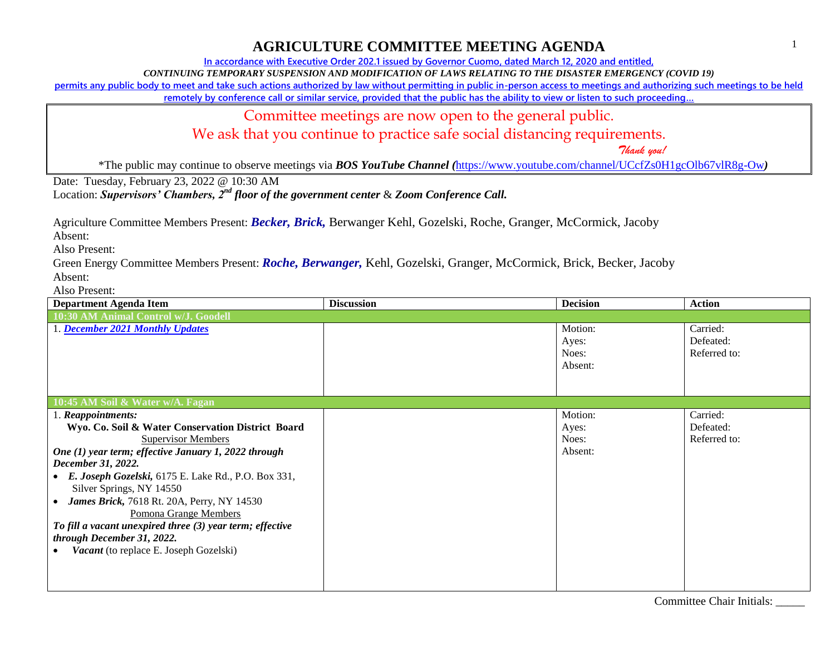**In accordance with Executive Order 202.1 issued by Governor Cuomo, dated March 12, 2020 and entitled,**

*CONTINUING TEMPORARY SUSPENSION AND MODIFICATION OF LAWS RELATING TO THE DISASTER EMERGENCY (COVID 19)*

**permits any public body to meet and take such actions authorized by law without permitting in public in-person access to meetings and authorizing such meetings to be held** 

**remotely by conference call or similar service, provided that the public has the ability to view or listen to such proceeding…**

Committee meetings are now open to the general public.

We ask that you continue to practice safe social distancing requirements.

 *Thank you!*

\*The public may continue to observe meetings via *BOS YouTube Channel (*<https://www.youtube.com/channel/UCcfZs0H1gcOlb67vlR8g-Ow>*)*

Date: Tuesday, February 23, 2022 @ 10:30 AM

Location: *Supervisors' Chambers, 2nd floor of the government center* & *Zoom Conference Call.*

Agriculture Committee Members Present: *Becker, Brick,* Berwanger Kehl, Gozelski, Roche, Granger, McCormick, Jacoby

Absent:

Also Present:

Green Energy Committee Members Present: *Roche, Berwanger,* Kehl, Gozelski, Granger, McCormick, Brick, Becker, Jacoby Absent:

Also Present:

| <b>Department Agenda Item</b>                             | <b>Discussion</b> | <b>Decision</b>  | <b>Action</b>         |
|-----------------------------------------------------------|-------------------|------------------|-----------------------|
| 10:30 AM Animal Control w/J. Goodell                      |                   |                  |                       |
| 1. December 2021 Monthly Updates                          |                   | Motion:<br>Ayes: | Carried:<br>Defeated: |
|                                                           |                   | Noes:            | Referred to:          |
|                                                           |                   | Absent:          |                       |
|                                                           |                   |                  |                       |
|                                                           |                   |                  |                       |
| 10:45 AM Soil & Water w/A. Fagan                          |                   |                  |                       |
| 1. Reappointments:                                        |                   | Motion:          | Carried:              |
| Wyo. Co. Soil & Water Conservation District Board         |                   | Ayes:            | Defeated:             |
| <b>Supervisor Members</b>                                 |                   | Noes:            | Referred to:          |
| One (1) year term; effective January 1, 2022 through      |                   | Absent:          |                       |
| December 31, 2022.                                        |                   |                  |                       |
| • E. Joseph Gozelski, 6175 E. Lake Rd., P.O. Box 331,     |                   |                  |                       |
| Silver Springs, NY 14550                                  |                   |                  |                       |
| James Brick, 7618 Rt. 20A, Perry, NY 14530                |                   |                  |                       |
| Pomona Grange Members                                     |                   |                  |                       |
| To fill a vacant unexpired three (3) year term; effective |                   |                  |                       |
| through December 31, 2022.                                |                   |                  |                       |
| Vacant (to replace E. Joseph Gozelski)                    |                   |                  |                       |
|                                                           |                   |                  |                       |
|                                                           |                   |                  |                       |
|                                                           |                   |                  |                       |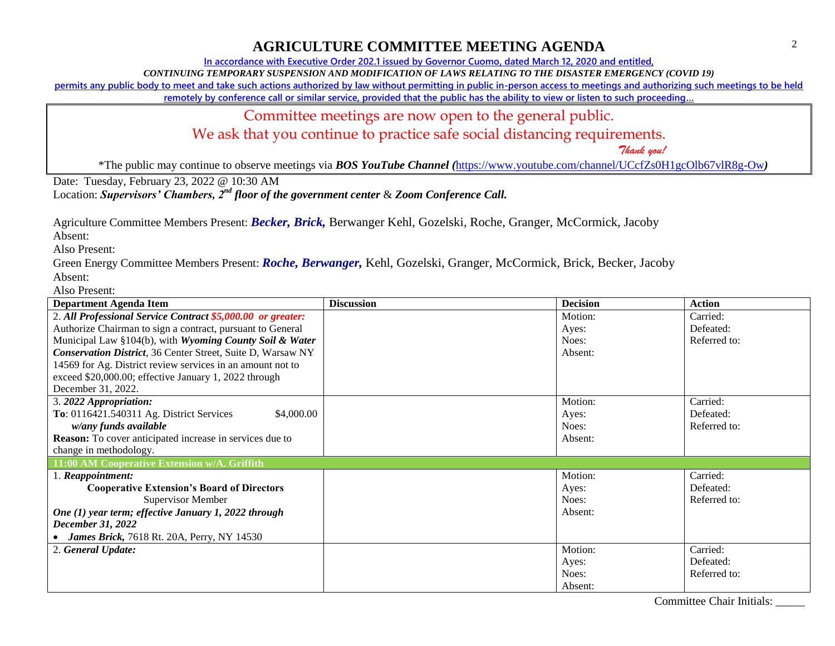**In accordance with Executive Order 202.1 issued by Governor Cuomo, dated March 12, 2020 and entitled,**

*CONTINUING TEMPORARY SUSPENSION AND MODIFICATION OF LAWS RELATING TO THE DISASTER EMERGENCY (COVID 19)*

**permits any public body to meet and take such actions authorized by law without permitting in public in-person access to meetings and authorizing such meetings to be held** 

**remotely by conference call or similar service, provided that the public has the ability to view or listen to such proceeding…**

Committee meetings are now open to the general public.

We ask that you continue to practice safe social distancing requirements.

 *Thank you!*

\*The public may continue to observe meetings via *BOS YouTube Channel (*<https://www.youtube.com/channel/UCcfZs0H1gcOlb67vlR8g-Ow>*)*

Date: Tuesday, February 23, 2022 @ 10:30 AM

Location: *Supervisors' Chambers, 2nd floor of the government center* & *Zoom Conference Call.*

Agriculture Committee Members Present: *Becker, Brick,* Berwanger Kehl, Gozelski, Roche, Granger, McCormick, Jacoby

Absent:

Also Present:

Green Energy Committee Members Present: *Roche, Berwanger,* Kehl, Gozelski, Granger, McCormick, Brick, Becker, Jacoby Absent:

Also Present:

| <b>Department Agenda Item</b>                                   | <b>Discussion</b> | <b>Decision</b> | <b>Action</b> |
|-----------------------------------------------------------------|-------------------|-----------------|---------------|
| 2. All Professional Service Contract \$5,000.00 or greater:     |                   | Motion:         | Carried:      |
| Authorize Chairman to sign a contract, pursuant to General      |                   | Ayes:           | Defeated:     |
| Municipal Law §104(b), with Wyoming County Soil & Water         |                   | Noes:           | Referred to:  |
| Conservation District, 36 Center Street, Suite D, Warsaw NY     |                   | Absent:         |               |
| 14569 for Ag. District review services in an amount not to      |                   |                 |               |
| exceed \$20,000.00; effective January 1, 2022 through           |                   |                 |               |
| December 31, 2022.                                              |                   |                 |               |
| 3. 2022 Appropriation:                                          |                   | Motion:         | Carried:      |
| To: 0116421.540311 Ag. District Services<br>\$4,000.00          |                   | Ayes:           | Defeated:     |
| w/any funds available                                           |                   | Noes:           | Referred to:  |
| <b>Reason:</b> To cover anticipated increase in services due to |                   | Absent:         |               |
| change in methodology.                                          |                   |                 |               |
| 11:00 AM Cooperative Extension w/A. Griffith                    |                   |                 |               |
| 1. Reappointment:                                               |                   | Motion:         | Carried:      |
| <b>Cooperative Extension's Board of Directors</b>               |                   | Ayes:           | Defeated:     |
| <b>Supervisor Member</b>                                        |                   | Noes:           | Referred to:  |
| One (1) year term; effective January 1, 2022 through            |                   | Absent:         |               |
| December 31, 2022                                               |                   |                 |               |
| <b>James Brick, 7618 Rt. 20A, Perry, NY 14530</b>               |                   |                 |               |
| 2. General Update:                                              |                   | Motion:         | Carried:      |
|                                                                 |                   | Ayes:           | Defeated:     |
|                                                                 |                   | Noes:           | Referred to:  |
|                                                                 |                   | Absent:         |               |

Committee Chair Initials: \_\_\_\_\_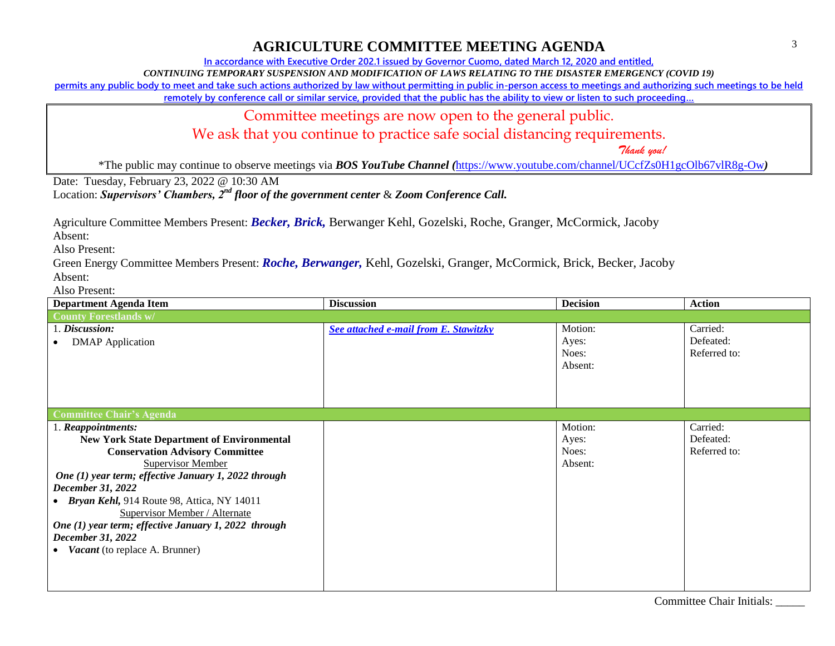**In accordance with Executive Order 202.1 issued by Governor Cuomo, dated March 12, 2020 and entitled,**

*CONTINUING TEMPORARY SUSPENSION AND MODIFICATION OF LAWS RELATING TO THE DISASTER EMERGENCY (COVID 19)*

**permits any public body to meet and take such actions authorized by law without permitting in public in-person access to meetings and authorizing such meetings to be held** 

**remotely by conference call or similar service, provided that the public has the ability to view or listen to such proceeding…**

Committee meetings are now open to the general public.

We ask that you continue to practice safe social distancing requirements.

 *Thank you!*

\*The public may continue to observe meetings via *BOS YouTube Channel (*<https://www.youtube.com/channel/UCcfZs0H1gcOlb67vlR8g-Ow>*)*

Date: Tuesday, February 23, 2022 @ 10:30 AM

Location: *Supervisors' Chambers, 2nd floor of the government center* & *Zoom Conference Call.*

Agriculture Committee Members Present: *Becker, Brick,* Berwanger Kehl, Gozelski, Roche, Granger, McCormick, Jacoby

Absent:

Also Present:

Green Energy Committee Members Present: *Roche, Berwanger,* Kehl, Gozelski, Granger, McCormick, Brick, Becker, Jacoby Absent:

Also Present:

| <b>Department Agenda Item</b>                        | <b>Discussion</b>                     | <b>Decision</b> | <b>Action</b> |
|------------------------------------------------------|---------------------------------------|-----------------|---------------|
| <b>County Forestlands w/</b>                         |                                       |                 |               |
| 1. Discussion:                                       | See attached e-mail from E. Stawitzky | Motion:         | Carried:      |
| <b>DMAP</b> Application                              |                                       | Ayes:           | Defeated:     |
|                                                      |                                       | Noes:           | Referred to:  |
|                                                      |                                       | Absent:         |               |
|                                                      |                                       |                 |               |
|                                                      |                                       |                 |               |
|                                                      |                                       |                 |               |
| <b>Committee Chair's Agenda</b>                      |                                       |                 |               |
| 1. Reappointments:                                   |                                       | Motion:         | Carried:      |
| <b>New York State Department of Environmental</b>    |                                       | Ayes:           | Defeated:     |
| <b>Conservation Advisory Committee</b>               |                                       | Noes:           | Referred to:  |
| <b>Supervisor Member</b>                             |                                       | Absent:         |               |
| One (1) year term; effective January 1, 2022 through |                                       |                 |               |
| December 31, 2022                                    |                                       |                 |               |
| <b>Bryan Kehl, 914 Route 98, Attica, NY 14011</b>    |                                       |                 |               |
| <b>Supervisor Member / Alternate</b>                 |                                       |                 |               |
| One (1) year term; effective January 1, 2022 through |                                       |                 |               |
| December 31, 2022                                    |                                       |                 |               |
| <i>Vacant</i> (to replace A. Brunner)                |                                       |                 |               |
|                                                      |                                       |                 |               |
|                                                      |                                       |                 |               |
|                                                      |                                       |                 |               |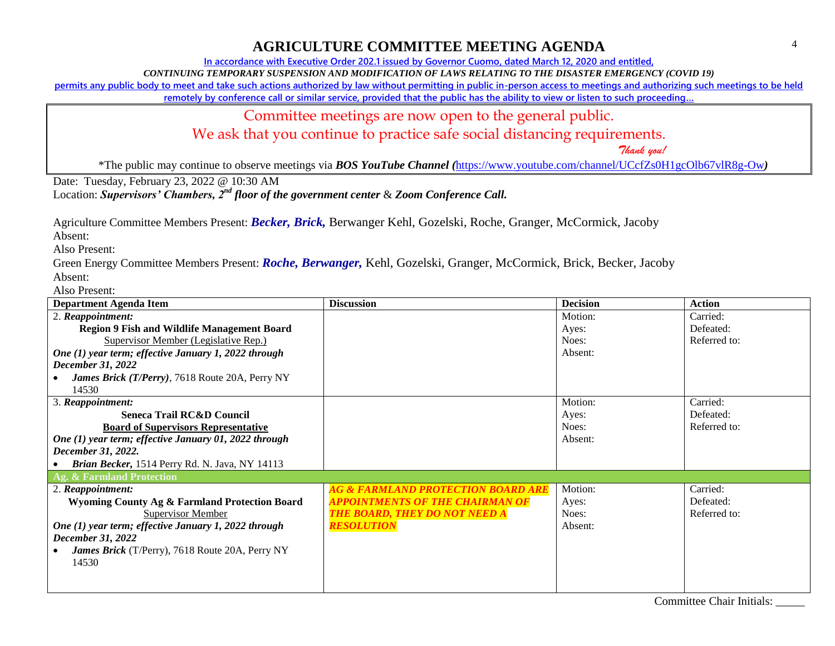**In accordance with Executive Order 202.1 issued by Governor Cuomo, dated March 12, 2020 and entitled,**

*CONTINUING TEMPORARY SUSPENSION AND MODIFICATION OF LAWS RELATING TO THE DISASTER EMERGENCY (COVID 19)*

**permits any public body to meet and take such actions authorized by law without permitting in public in-person access to meetings and authorizing such meetings to be held** 

**remotely by conference call or similar service, provided that the public has the ability to view or listen to such proceeding…**

Committee meetings are now open to the general public.

We ask that you continue to practice safe social distancing requirements.

 *Thank you!*

\*The public may continue to observe meetings via *BOS YouTube Channel (*<https://www.youtube.com/channel/UCcfZs0H1gcOlb67vlR8g-Ow>*)*

Date: Tuesday, February 23, 2022 @ 10:30 AM

Location: *Supervisors' Chambers, 2nd floor of the government center* & *Zoom Conference Call.*

Agriculture Committee Members Present: *Becker, Brick,* Berwanger Kehl, Gozelski, Roche, Granger, McCormick, Jacoby

Absent:

Also Present:

Green Energy Committee Members Present: *Roche, Berwanger,* Kehl, Gozelski, Granger, McCormick, Brick, Becker, Jacoby Absent:

Also Present:

| <b>Department Agenda Item</b>                          | <b>Discussion</b>                             | <b>Decision</b> | <b>Action</b> |
|--------------------------------------------------------|-----------------------------------------------|-----------------|---------------|
| 2. Reappointment:                                      |                                               | Motion:         | Carried:      |
| <b>Region 9 Fish and Wildlife Management Board</b>     |                                               | Ayes:           | Defeated:     |
| Supervisor Member (Legislative Rep.)                   |                                               | Noes:           | Referred to:  |
| One (1) year term; effective January 1, 2022 through   |                                               | Absent:         |               |
| December 31, 2022                                      |                                               |                 |               |
| James Brick (T/Perry), 7618 Route 20A, Perry NY        |                                               |                 |               |
| 14530                                                  |                                               |                 |               |
| 3. Reappointment:                                      |                                               | Motion:         | Carried:      |
| <b>Seneca Trail RC&amp;D Council</b>                   |                                               | Ayes:           | Defeated:     |
| <b>Board of Supervisors Representative</b>             |                                               | Noes:           | Referred to:  |
| One (1) year term; effective January 01, 2022 through  |                                               | Absent:         |               |
| December 31, 2022.                                     |                                               |                 |               |
| Brian Becker, 1514 Perry Rd. N. Java, NY 14113         |                                               |                 |               |
| Ag. & Farmland Protection                              |                                               |                 |               |
| 2. Reappointment:                                      | <b>AG &amp; FARMLAND PROTECTION BOARD ARE</b> | Motion:         | Carried:      |
| Wyoming County Ag & Farmland Protection Board          | <b>APPOINTMENTS OF THE CHAIRMAN OF</b>        | Ayes:           | Defeated:     |
| Supervisor Member                                      | <b>THE BOARD, THEY DO NOT NEED A</b>          | Noes:           | Referred to:  |
| One (1) year term; effective January 1, 2022 through   | <b>RESOLUTION</b>                             | Absent:         |               |
| December 31, 2022                                      |                                               |                 |               |
| <b>James Brick</b> (T/Perry), 7618 Route 20A, Perry NY |                                               |                 |               |
| 14530                                                  |                                               |                 |               |
|                                                        |                                               |                 |               |
|                                                        |                                               |                 |               |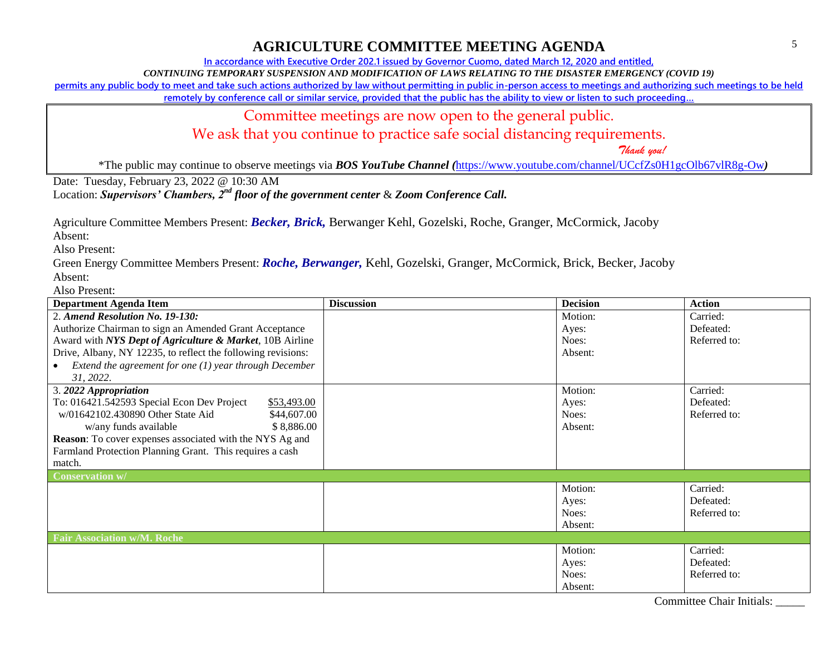**In accordance with Executive Order 202.1 issued by Governor Cuomo, dated March 12, 2020 and entitled,**

*CONTINUING TEMPORARY SUSPENSION AND MODIFICATION OF LAWS RELATING TO THE DISASTER EMERGENCY (COVID 19)*

**permits any public body to meet and take such actions authorized by law without permitting in public in-person access to meetings and authorizing such meetings to be held** 

**remotely by conference call or similar service, provided that the public has the ability to view or listen to such proceeding…**

Committee meetings are now open to the general public.

We ask that you continue to practice safe social distancing requirements.

 *Thank you!*

\*The public may continue to observe meetings via *BOS YouTube Channel (*<https://www.youtube.com/channel/UCcfZs0H1gcOlb67vlR8g-Ow>*)*

Date: Tuesday, February 23, 2022 @ 10:30 AM

Location: *Supervisors' Chambers, 2nd floor of the government center* & *Zoom Conference Call.*

Agriculture Committee Members Present: *Becker, Brick,* Berwanger Kehl, Gozelski, Roche, Granger, McCormick, Jacoby

Absent:

Also Present:

Green Energy Committee Members Present: *Roche, Berwanger,* Kehl, Gozelski, Granger, McCormick, Brick, Becker, Jacoby Absent:

Also Present:

| <b>Department Agenda Item</b>                                | <b>Discussion</b> | <b>Decision</b> | Action       |
|--------------------------------------------------------------|-------------------|-----------------|--------------|
| 2. Amend Resolution No. 19-130:                              |                   | Motion:         | Carried:     |
| Authorize Chairman to sign an Amended Grant Acceptance       |                   | Ayes:           | Defeated:    |
| Award with NYS Dept of Agriculture & Market, 10B Airline     |                   | Noes:           | Referred to: |
| Drive, Albany, NY 12235, to reflect the following revisions: |                   | Absent:         |              |
| Extend the agreement for one $(1)$ year through December     |                   |                 |              |
| 31, 2022.                                                    |                   |                 |              |
| 3. 2022 Appropriation                                        |                   | Motion:         | Carried:     |
| To: 016421.542593 Special Econ Dev Project<br>\$53,493.00    |                   | Ayes:           | Defeated:    |
| w/01642102.430890 Other State Aid<br>\$44,607.00             |                   | Noes:           | Referred to: |
| \$8,886.00<br>w/any funds available                          |                   | Absent:         |              |
| Reason: To cover expenses associated with the NYS Ag and     |                   |                 |              |
| Farmland Protection Planning Grant. This requires a cash     |                   |                 |              |
| match.                                                       |                   |                 |              |
| <b>Conservation w/</b>                                       |                   |                 |              |
|                                                              |                   | Motion:         | Carried:     |
|                                                              |                   | Ayes:           | Defeated:    |
|                                                              |                   | Noes:           | Referred to: |
|                                                              |                   | Absent:         |              |
| <b>Fair Association w/M. Roche</b>                           |                   |                 |              |
|                                                              |                   | Motion:         | Carried:     |
|                                                              |                   | Ayes:           | Defeated:    |
|                                                              |                   | Noes:           | Referred to: |
|                                                              |                   | Absent:         |              |

Committee Chair Initials: \_\_\_\_\_